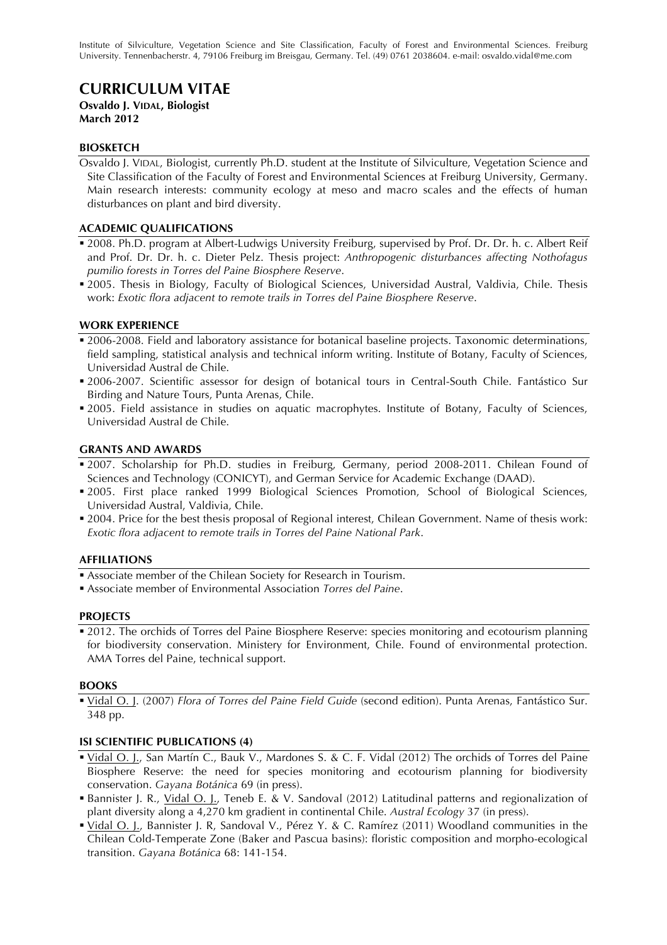Institute of Silviculture, Vegetation Science and Site Classification, Faculty of Forest and Environmental Sciences. Freiburg University. Tennenbacherstr. 4, 79106 Freiburg im Breisgau, Germany. Tel. (49) 0761 2038604. e-mail: osvaldo.vidal@me.com

# **CURRICULUM VITAE**

# **Osvaldo J. VIDAL, Biologist March 2012**

# **BIOSKETCH**

Osvaldo J. VIDAL, Biologist, currently Ph.D. student at the Institute of Silviculture, Vegetation Science and Site Classification of the Faculty of Forest and Environmental Sciences at Freiburg University, Germany. Main research interests: community ecology at meso and macro scales and the effects of human disturbances on plant and bird diversity.

## **ACADEMIC QUALIFICATIONS**

- **2008. Ph.D. program at Albert-Ludwigs University Freiburg, supervised by Prof. Dr. Dr. h. c. Albert Reif** and Prof. Dr. Dr. h. c. Dieter Pelz. Thesis project: *Anthropogenic disturbances affecting Nothofagus pumilio forests in Torres del Paine Biosphere Reserve*.
- 2005. Thesis in Biology, Faculty of Biological Sciences, Universidad Austral, Valdivia, Chile. Thesis work: *Exotic flora adjacent to remote trails in Torres del Paine Biosphere Reserve*.

## **WORK EXPERIENCE**

- 2006-2008. Field and laboratory assistance for botanical baseline projects. Taxonomic determinations, field sampling, statistical analysis and technical inform writing. Institute of Botany, Faculty of Sciences, Universidad Austral de Chile.
- 2006-2007. Scientific assessor for design of botanical tours in Central-South Chile. Fantástico Sur Birding and Nature Tours, Punta Arenas, Chile.
- 2005. Field assistance in studies on aquatic macrophytes. Institute of Botany, Faculty of Sciences, Universidad Austral de Chile.

#### **GRANTS AND AWARDS**

- **2007.** Scholarship for Ph.D. studies in Freiburg, Germany, period 2008-2011. Chilean Found of Sciences and Technology (CONICYT), and German Service for Academic Exchange (DAAD).
- 2005. First place ranked 1999 Biological Sciences Promotion, School of Biological Sciences, Universidad Austral, Valdivia, Chile.
- 2004. Price for the best thesis proposal of Regional interest, Chilean Government. Name of thesis work: *Exotic flora adjacent to remote trails in Torres del Paine National Park*.

#### **AFFILIATIONS**

- Associate member of the Chilean Society for Research in Tourism.
- Associate member of Environmental Association *Torres del Paine*.

#### **PROJECTS**

<sup>2012</sup>. The orchids of Torres del Paine Biosphere Reserve: species monitoring and ecotourism planning for biodiversity conservation. Ministery for Environment, Chile. Found of environmental protection. AMA Torres del Paine, technical support.

#### **BOOKS**

 Vidal O. J. (2007) *Flora of Torres del Paine Field Guide* (second edition). Punta Arenas, Fantástico Sur. 348 pp.

#### **ISI SCIENTIFIC PUBLICATIONS (4)**

- Vidal O. J., San Martín C., Bauk V., Mardones S. & C. F. Vidal (2012) The orchids of Torres del Paine Biosphere Reserve: the need for species monitoring and ecotourism planning for biodiversity conservation. *Gayana Botánica* 69 (in press).
- Bannister J. R., Vidal O. J., Teneb E. & V. Sandoval (2012) Latitudinal patterns and regionalization of plant diversity along a 4,270 km gradient in continental Chile. *Austral Ecology* 37 (in press).
- Vidal O. J., Bannister J. R, Sandoval V., Pérez Y. & C. Ramírez (2011) Woodland communities in the Chilean Cold-Temperate Zone (Baker and Pascua basins): floristic composition and morpho-ecological transition. *Gayana Botánica* 68: 141-154.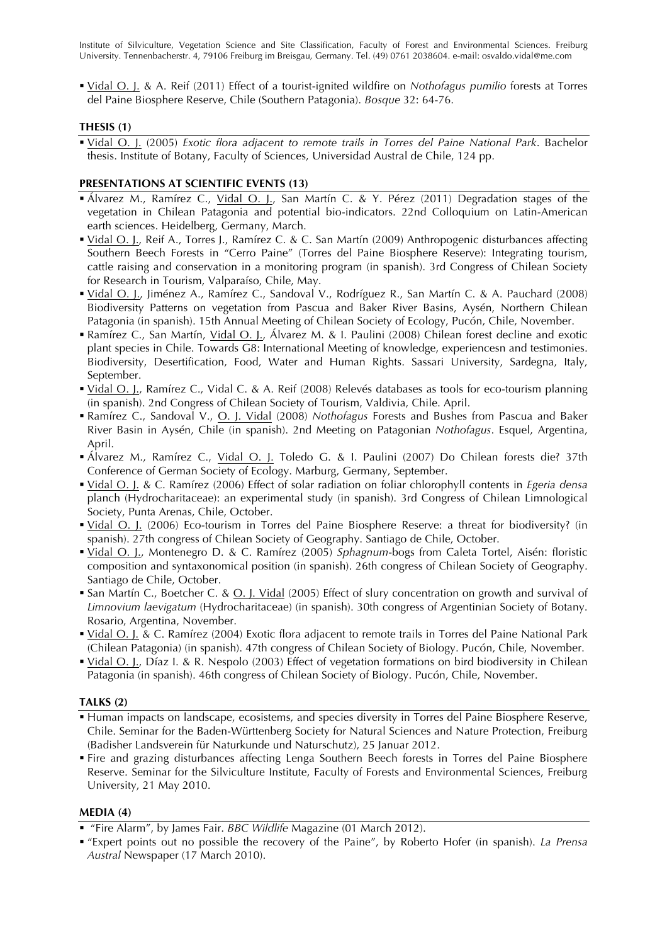Institute of Silviculture, Vegetation Science and Site Classification, Faculty of Forest and Environmental Sciences. Freiburg University. Tennenbacherstr. 4, 79106 Freiburg im Breisgau, Germany. Tel. (49) 0761 2038604. e-mail: osvaldo.vidal@me.com

 Vidal O. J. & A. Reif (2011) Effect of a tourist-ignited wildfire on *Nothofagus pumilio* forests at Torres del Paine Biosphere Reserve, Chile (Southern Patagonia). *Bosque* 32: 64-76.

# **THESIS (1)**

 Vidal O. J. (2005) *Exotic flora adjacent to remote trails in Torres del Paine National Park*. Bachelor thesis. Institute of Botany, Faculty of Sciences, Universidad Austral de Chile, 124 pp.

## **PRESENTATIONS AT SCIENTIFIC EVENTS (13)**

- **•** Álvarez M., Ramírez C., Vidal O. J., San Martín C. & Y. Pérez (2011) Degradation stages of the vegetation in Chilean Patagonia and potential bio-indicators. 22nd Colloquium on Latin-American earth sciences. Heidelberg, Germany, March.
- Vidal O. J., Reif A., Torres J., Ramírez C. & C. San Martín (2009) Anthropogenic disturbances affecting Southern Beech Forests in "Cerro Paine" (Torres del Paine Biosphere Reserve): Integrating tourism, cattle raising and conservation in a monitoring program (in spanish). 3rd Congress of Chilean Society for Research in Tourism, Valparaíso, Chile, May.
- Vidal O. J., Jiménez A., Ramírez C., Sandoval V., Rodríguez R., San Martín C. & A. Pauchard (2008) Biodiversity Patterns on vegetation from Pascua and Baker River Basins, Aysén, Northern Chilean Patagonia (in spanish). 15th Annual Meeting of Chilean Society of Ecology, Pucón, Chile, November.
- Ramírez C., San Martín, Vidal O. J., Álvarez M. & I. Paulini (2008) Chilean forest decline and exotic plant species in Chile. Towards G8: International Meeting of knowledge, experiencesn and testimonies. Biodiversity, Desertification, Food, Water and Human Rights. Sassari University, Sardegna, Italy, September.
- Vidal O. J., Ramírez C., Vidal C. & A. Reif (2008) Relevés databases as tools for eco-tourism planning (in spanish). 2nd Congress of Chilean Society of Tourism, Valdivia, Chile. April.
- Ramírez C., Sandoval V., O. J. Vidal (2008) *Nothofagus* Forests and Bushes from Pascua and Baker River Basin in Aysén, Chile (in spanish). 2nd Meeting on Patagonian *Nothofagus*. Esquel, Argentina, April.
- Álvarez M., Ramírez C., Vidal O. J. Toledo G. & I. Paulini (2007) Do Chilean forests die? 37th Conference of German Society of Ecology. Marburg, Germany, September.
- Vidal O. J. & C. Ramírez (2006) Effect of solar radiation on foliar chlorophyll contents in *Egeria densa*  planch (Hydrocharitaceae): an experimental study (in spanish). 3rd Congress of Chilean Limnological Society, Punta Arenas, Chile, October.
- Vidal O. J. (2006) Eco-tourism in Torres del Paine Biosphere Reserve: a threat for biodiversity? (in spanish). 27th congress of Chilean Society of Geography. Santiago de Chile, October.
- Vidal O. J., Montenegro D. & C. Ramírez (2005) *Sphagnum*-bogs from Caleta Tortel, Aisén: floristic composition and syntaxonomical position (in spanish). 26th congress of Chilean Society of Geography. Santiago de Chile, October.
- San Martín C., Boetcher C. & O. J. Vidal (2005) Effect of slury concentration on growth and survival of *Limnovium laevigatum* (Hydrocharitaceae) (in spanish). 30th congress of Argentinian Society of Botany. Rosario, Argentina, November.
- Vidal O. J. & C. Ramírez (2004) Exotic flora adjacent to remote trails in Torres del Paine National Park (Chilean Patagonia) (in spanish). 47th congress of Chilean Society of Biology. Pucón, Chile, November.
- Vidal O. J., Díaz I. & R. Nespolo (2003) Effect of vegetation formations on bird biodiversity in Chilean Patagonia (in spanish). 46th congress of Chilean Society of Biology. Pucón, Chile, November.

#### **TALKS (2)**

- Human impacts on landscape, ecosistems, and species diversity in Torres del Paine Biosphere Reserve, Chile. Seminar for the Baden-Württenberg Society for Natural Sciences and Nature Protection, Freiburg (Badisher Landsverein für Naturkunde und Naturschutz), 25 Januar 2012.
- Fire and grazing disturbances affecting Lenga Southern Beech forests in Torres del Paine Biosphere Reserve. Seminar for the Silviculture Institute, Faculty of Forests and Environmental Sciences, Freiburg University, 21 May 2010.

#### **MEDIA (4)**

"Fire Alarm", by James Fair. *BBC Wildlife* Magazine (01 March 2012).

 "Expert points out no possible the recovery of the Paine", by Roberto Hofer (in spanish). *La Prensa Austral* Newspaper (17 March 2010).